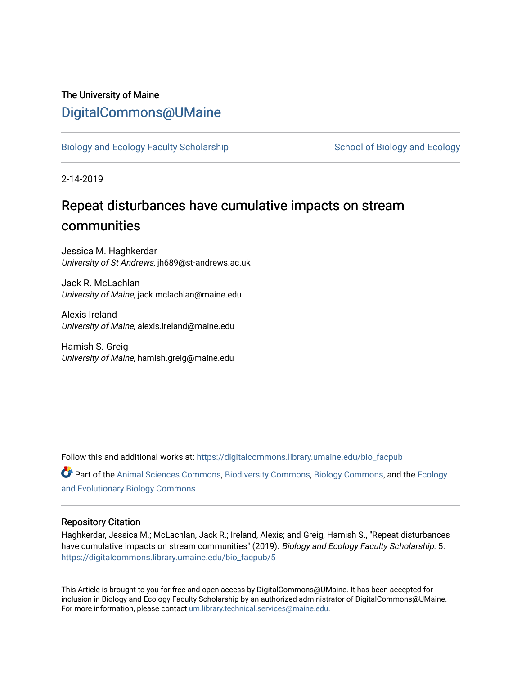# The University of Maine [DigitalCommons@UMaine](https://digitalcommons.library.umaine.edu/)

[Biology and Ecology Faculty Scholarship](https://digitalcommons.library.umaine.edu/bio_facpub) [School of Biology and Ecology](https://digitalcommons.library.umaine.edu/bio) and Ecology

2-14-2019

# Repeat disturbances have cumulative impacts on stream communities

Jessica M. Haghkerdar University of St Andrews, jh689@st-andrews.ac.uk

Jack R. McLachlan University of Maine, jack.mclachlan@maine.edu

Alexis Ireland University of Maine, alexis.ireland@maine.edu

Hamish S. Greig University of Maine, hamish.greig@maine.edu

Follow this and additional works at: [https://digitalcommons.library.umaine.edu/bio\\_facpub](https://digitalcommons.library.umaine.edu/bio_facpub?utm_source=digitalcommons.library.umaine.edu%2Fbio_facpub%2F5&utm_medium=PDF&utm_campaign=PDFCoverPages) 

Part of the [Animal Sciences Commons,](http://network.bepress.com/hgg/discipline/76?utm_source=digitalcommons.library.umaine.edu%2Fbio_facpub%2F5&utm_medium=PDF&utm_campaign=PDFCoverPages) [Biodiversity Commons](http://network.bepress.com/hgg/discipline/1127?utm_source=digitalcommons.library.umaine.edu%2Fbio_facpub%2F5&utm_medium=PDF&utm_campaign=PDFCoverPages), [Biology Commons,](http://network.bepress.com/hgg/discipline/41?utm_source=digitalcommons.library.umaine.edu%2Fbio_facpub%2F5&utm_medium=PDF&utm_campaign=PDFCoverPages) and the [Ecology](http://network.bepress.com/hgg/discipline/14?utm_source=digitalcommons.library.umaine.edu%2Fbio_facpub%2F5&utm_medium=PDF&utm_campaign=PDFCoverPages)  [and Evolutionary Biology Commons](http://network.bepress.com/hgg/discipline/14?utm_source=digitalcommons.library.umaine.edu%2Fbio_facpub%2F5&utm_medium=PDF&utm_campaign=PDFCoverPages)

# Repository Citation

Haghkerdar, Jessica M.; McLachlan, Jack R.; Ireland, Alexis; and Greig, Hamish S., "Repeat disturbances have cumulative impacts on stream communities" (2019). Biology and Ecology Faculty Scholarship. 5. [https://digitalcommons.library.umaine.edu/bio\\_facpub/5](https://digitalcommons.library.umaine.edu/bio_facpub/5?utm_source=digitalcommons.library.umaine.edu%2Fbio_facpub%2F5&utm_medium=PDF&utm_campaign=PDFCoverPages) 

This Article is brought to you for free and open access by DigitalCommons@UMaine. It has been accepted for inclusion in Biology and Ecology Faculty Scholarship by an authorized administrator of DigitalCommons@UMaine. For more information, please contact [um.library.technical.services@maine.edu](mailto:um.library.technical.services@maine.edu).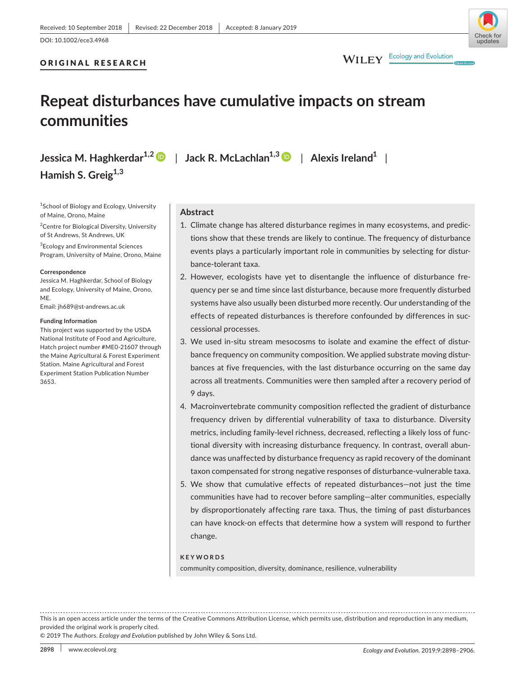ORIGINAL RESEARCH

# undates

WILEY Ecology and Evolution

# **Repeat disturbances have cumulative impacts on stream communities**

**Jessica M. Haghkerdar1,2** | **Jack R. McLachlan1,[3](https://orcid.org/0000-0002-4287-5644)** | **Alexis Ireland1** | **Hamish S. Greig1,3**

<sup>1</sup>School of Biology and Ecology, University of Maine, Orono, Maine

<sup>2</sup> Centre for Biological Diversity, University of St Andrews, St Andrews, UK

3 Ecology and Environmental Sciences Program, University of Maine, Orono, Maine

#### **Correspondence**

Jessica M. Haghkerdar, School of Biology and Ecology, University of Maine, Orono, ME.

Email: [jh689@st-andrews.ac.uk](mailto:jh689@st-andrews.ac.uk)

#### **Funding Information**

This project was supported by the USDA National Institute of Food and Agriculture, Hatch project number #ME0‐21607 through the Maine Agricultural & Forest Experiment Station. Maine Agricultural and Forest Experiment Station Publication Number 3653.

# **Abstract**

- 1. Climate change has altered disturbance regimes in many ecosystems, and predictions show that these trends are likely to continue. The frequency of disturbance events plays a particularly important role in communities by selecting for disturbance‐tolerant taxa.
- 2. However, ecologists have yet to disentangle the influence of disturbance frequency per se and time since last disturbance, because more frequently disturbed systems have also usually been disturbed more recently. Our understanding of the effects of repeated disturbances is therefore confounded by differences in successional processes.
- 3. We used in‐situ stream mesocosms to isolate and examine the effect of disturbance frequency on community composition. We applied substrate moving disturbances at five frequencies, with the last disturbance occurring on the same day across all treatments. Communities were then sampled after a recovery period of 9 days.
- 4. Macroinvertebrate community composition reflected the gradient of disturbance frequency driven by differential vulnerability of taxa to disturbance. Diversity metrics, including family‐level richness, decreased, reflecting a likely loss of functional diversity with increasing disturbance frequency. In contrast, overall abundance was unaffected by disturbance frequency as rapid recovery of the dominant taxon compensated for strong negative responses of disturbance‐vulnerable taxa.
- 5. We show that cumulative effects of repeated disturbances—not just the time communities have had to recover before sampling—alter communities, especially by disproportionately affecting rare taxa. Thus, the timing of past disturbances can have knock‐on effects that determine how a system will respond to further change.

#### **KEYWORDS**

community composition, diversity, dominance, resilience, vulnerability

This is an open access article under the terms of the [Creative Commons Attribution](http://creativecommons.org/licenses/by/4.0/) License, which permits use, distribution and reproduction in any medium, provided the original work is properly cited.

© 2019 The Authors. *Ecology and Evolution* published by John Wiley & Sons Ltd.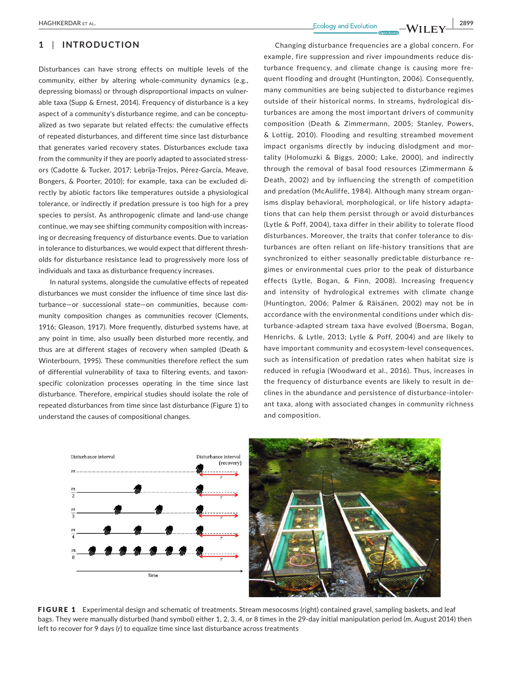# **1** | **INTRODUCTION**

Disturbances can have strong effects on multiple levels of the community, either by altering whole‐community dynamics (e.g., depressing biomass) or through disproportional impacts on vulnerable taxa (Supp & Ernest, 2014). Frequency of disturbance is a key aspect of a community's disturbance regime, and can be conceptualized as two separate but related effects: the cumulative effects of repeated disturbances, and different time since last disturbance that generates varied recovery states. Disturbances exclude taxa from the community if they are poorly adapted to associated stressors (Cadotte & Tucker, 2017; Lebrija‐Trejos, Pérez‐García, Meave, Bongers, & Poorter, 2010); for example, taxa can be excluded directly by abiotic factors like temperatures outside a physiological tolerance, or indirectly if predation pressure is too high for a prey species to persist. As anthropogenic climate and land‐use change continue, we may see shifting community composition with increasing or decreasing frequency of disturbance events. Due to variation in tolerance to disturbances, we would expect that different thresholds for disturbance resistance lead to progressively more loss of individuals and taxa as disturbance frequency increases.

In natural systems, alongside the cumulative effects of repeated disturbances we must consider the influence of time since last disturbance—or successional state—on communities, because community composition changes as communities recover (Clements, 1916; Gleason, 1917). More frequently, disturbed systems have, at any point in time, also usually been disturbed more recently, and thus are at different stages of recovery when sampled (Death & Winterbourn, 1995). These communities therefore reflect the sum of differential vulnerability of taxa to filtering events, and taxon‐ specific colonization processes operating in the time since last disturbance. Therefore, empirical studies should isolate the role of repeated disturbances from time since last disturbance (Figure 1) to understand the causes of compositional changes.

Changing disturbance frequencies are a global concern. For example, fire suppression and river impoundments reduce disturbance frequency, and climate change is causing more frequent flooding and drought (Huntington, 2006). Consequently, many communities are being subjected to disturbance regimes outside of their historical norms. In streams, hydrological disturbances are among the most important drivers of community composition (Death & Zimmermann, 2005; Stanley, Powers, & Lottig, 2010). Flooding and resulting streambed movement impact organisms directly by inducing dislodgment and mortality (Holomuzki & Biggs, 2000; Lake, 2000), and indirectly through the removal of basal food resources (Zimmermann & Death, 2002) and by influencing the strength of competition and predation (McAuliffe, 1984). Although many stream organisms display behavioral, morphological, or life history adaptations that can help them persist through or avoid disturbances (Lytle & Poff, 2004), taxa differ in their ability to tolerate flood disturbances. Moreover, the traits that confer tolerance to disturbances are often reliant on life‐history transitions that are synchronized to either seasonally predictable disturbance regimes or environmental cues prior to the peak of disturbance effects (Lytle, Bogan, & Finn, 2008). Increasing frequency and intensity of hydrological extremes with climate change (Huntington, 2006; Palmer & Räisänen, 2002) may not be in accordance with the environmental conditions under which disturbance‐adapted stream taxa have evolved (Boersma, Bogan, Henrichs, & Lytle, 2013; Lytle & Poff, 2004) and are likely to have important community and ecosystem‐level consequences, such as intensification of predation rates when habitat size is reduced in refugia (Woodward et al., 2016). Thus, increases in the frequency of disturbance events are likely to result in declines in the abundance and persistence of disturbance‐intolerant taxa, along with associated changes in community richness and composition.





FIGURE 1 Experimental design and schematic of treatments. Stream mesocosms (right) contained gravel, sampling baskets, and leaf bags. They were manually disturbed (hand symbol) either 1, 2, 3, 4, or 8 times in the 29‐day initial manipulation period (*m*, August 2014) then left to recover for 9 days (*r*) to equalize time since last disturbance across treatments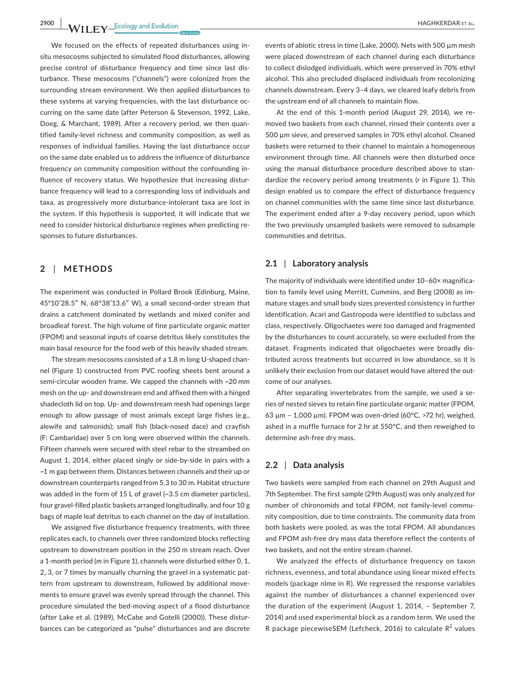**2900 WII FY** Ecology and Evolution **and Experiment Construction** HAGHKERDAR ET AL.

We focused on the effects of repeated disturbances using insitu mesocosms subjected to simulated flood disturbances, allowing precise control of disturbance frequency and time since last disturbance. These mesocosms ("channels") were colonized from the surrounding stream environment. We then applied disturbances to these systems at varying frequencies, with the last disturbance occurring on the same date (after Peterson & Stevenson, 1992, Lake, Doeg, & Marchant, 1989). After a recovery period, we then quantified family‐level richness and community composition, as well as responses of individual families. Having the last disturbance occur on the same date enabled us to address the influence of disturbance frequency on community composition without the confounding influence of recovery status. We hypothesize that increasing disturbance frequency will lead to a corresponding loss of individuals and taxa, as progressively more disturbance‐intolerant taxa are lost in the system. If this hypothesis is supported, it will indicate that we need to consider historical disturbance regimes when predicting responses to future disturbances.

## **2** | **METHODS**

The experiment was conducted in Pollard Brook (Edinburg, Maine, 45°10′28.5″ N, 68°38′13.6″ W), a small second‐order stream that drains a catchment dominated by wetlands and mixed conifer and broadleaf forest. The high volume of fine particulate organic matter (FPOM) and seasonal inputs of coarse detritus likely constitutes the main basal resource for the food web of this heavily shaded stream.

The stream mesocosms consisted of a 1.8 m long U-shaped channel (Figure 1) constructed from PVC roofing sheets bent around a semi-circular wooden frame. We capped the channels with ~20 mm mesh on the up‐ and downstream end and affixed them with a hinged shadecloth lid on top. Up‐ and downstream mesh had openings large enough to allow passage of most animals except large fishes (e.g., alewife and salmonids); small fish (black‐nosed dace) and crayfish (F: Cambaridae) over 5 cm long were observed within the channels. Fifteen channels were secured with steel rebar to the streambed on August 1, 2014, either placed singly or side‐by‐side in pairs with a ~1 m gap between them. Distances between channels and their up or downstream counterparts ranged from 5.3 to 30 m. Habitat structure was added in the form of 15 L of gravel (~3.5 cm diameter particles), four gravel‐filled plastic baskets arranged longitudinally, and four 10 g bags of maple leaf detritus to each channel on the day of installation.

We assigned five disturbance frequency treatments, with three replicates each, to channels over three randomized blocks reflecting upstream to downstream position in the 250 m stream reach. Over a 1‐month period (*m* in Figure 1), channels were disturbed either 0, 1, 2, 3, or 7 times by manually churning the gravel in a systematic pattern from upstream to downstream, followed by additional movements to ensure gravel was evenly spread through the channel. This procedure simulated the bed‐moving aspect of a flood disturbance (after Lake et al. (1989), McCabe and Gotelli (2000)). These disturbances can be categorized as "pulse" disturbances and are discrete

events of abiotic stress in time (Lake, 2000). Nets with 500 µm mesh were placed downstream of each channel during each disturbance to collect dislodged individuals, which were preserved in 70% ethyl alcohol. This also precluded displaced individuals from recolonizing channels downstream. Every 3–4 days, we cleared leafy debris from the upstream end of all channels to maintain flow.

At the end of this 1‐month period (August 29, 2014), we removed two baskets from each channel, rinsed their contents over a 500 µm sieve, and preserved samples in 70% ethyl alcohol. Cleaned baskets were returned to their channel to maintain a homogeneous environment through time. All channels were then disturbed once using the manual disturbance procedure described above to standardize the recovery period among treatments (*r* in Figure 1). This design enabled us to compare the effect of disturbance frequency on channel communities with the same time since last disturbance. The experiment ended after a 9‐day recovery period, upon which the two previously unsampled baskets were removed to subsample communities and detritus.

### **2.1** | **Laboratory analysis**

The majority of individuals were identified under 10–60× magnification to family level using Merritt, Cummins, and Berg (2008) as immature stages and small body sizes prevented consistency in further identification. Acari and Gastropoda were identified to subclass and class, respectively. Oligochaetes were too damaged and fragmented by the disturbances to count accurately, so were excluded from the dataset. Fragments indicated that oligochaetes were broadly distributed across treatments but occurred in low abundance, so it is unlikely their exclusion from our dataset would have altered the outcome of our analyses.

After separating invertebrates from the sample, we used a series of nested sieves to retain fine particulate organic matter (FPOM, 63  $\mu$ m - 1,000  $\mu$ m). FPOM was oven-dried (60°C, >72 hr), weighed, ashed in a muffle furnace for 2 hr at 550°C, and then reweighed to determine ash-free dry mass.

#### **2.2** | **Data analysis**

Two baskets were sampled from each channel on 29th August and 7th September. The first sample (29th August) was only analyzed for number of chironomids and total FPOM, not family‐level community composition, due to time constraints. The community data from both baskets were pooled, as was the total FPOM. All abundances and FPOM ash‐free dry mass data therefore reflect the contents of two baskets, and not the entire stream channel.

We analyzed the effects of disturbance frequency on taxon richness, evenness, and total abundance using linear mixed effects models (package nlme in R). We regressed the response variables against the number of disturbances a channel experienced over the duration of the experiment (August 1, 2014, – September 7, 2014) and used experimental block as a random term. We used the R package piecewiseSEM (Lefcheck, 2016) to calculate R<sup>2</sup> values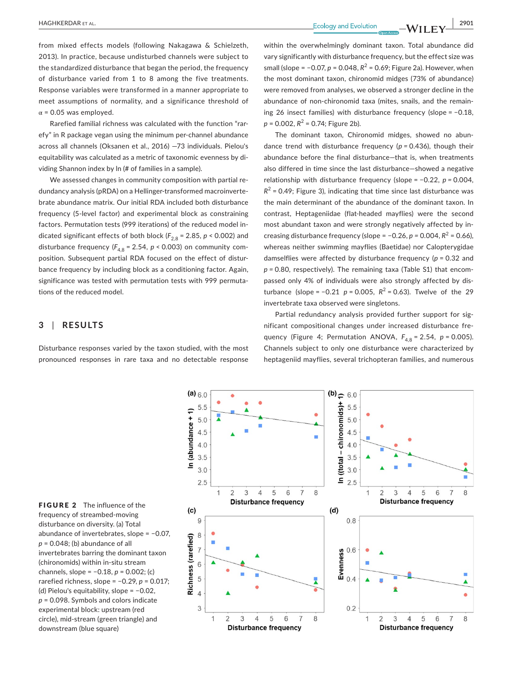**|** HAGHKERDAR et al. **2901**

from mixed effects models (following Nakagawa & Schielzeth, 2013). In practice, because undisturbed channels were subject to the standardized disturbance that began the period, the frequency of disturbance varied from 1 to 8 among the five treatments. Response variables were transformed in a manner appropriate to meet assumptions of normality, and a significance threshold of  $\alpha$  = 0.05 was employed.

Rarefied familial richness was calculated with the function "rarefy" in R package vegan using the minimum per‐channel abundance across all channels (Oksanen et al., 2016) —73 individuals. Pielou's equitability was calculated as a metric of taxonomic evenness by dividing Shannon index by ln (# of families in a sample).

We assessed changes in community composition with partial redundancy analysis (pRDA) on a Hellinger‐transformed macroinvertebrate abundance matrix. Our initial RDA included both disturbance frequency (5‐level factor) and experimental block as constraining factors. Permutation tests (999 iterations) of the reduced model indicated significant effects of both block ( $F_{2,8}$  = 2.85, *p* < 0.002) and disturbance frequency ( $F_{4,8}$  = 2.54,  $p$  < 0.003) on community composition. Subsequent partial RDA focused on the effect of disturbance frequency by including block as a conditioning factor. Again, significance was tested with permutation tests with 999 permutations of the reduced model.

# **3** | **RESULTS**

Disturbance responses varied by the taxon studied, with the most pronounced responses in rare taxa and no detectable response

within the overwhelmingly dominant taxon. Total abundance did vary significantly with disturbance frequency, but the effect size was small (slope = −0.07, *p* = 0.048,  $R^2$  = 0.69; Figure 2a). However, when the most dominant taxon, chironomid midges (73% of abundance) were removed from analyses, we observed a stronger decline in the abundance of non‐chironomid taxa (mites, snails, and the remaining 26 insect families) with disturbance frequency (slope = −0.18,  $p = 0.002$ ,  $R^2 = 0.74$ ; Figure 2b).

The dominant taxon, Chironomid midges, showed no abundance trend with disturbance frequency (*p =* 0.436), though their abundance before the final disturbance—that is, when treatments also differed in time since the last disturbance—showed a negative relationship with disturbance frequency (slope = −0.22, *p =* 0.004,  $R^2$  = 0.49; Figure 3), indicating that time since last disturbance was the main determinant of the abundance of the dominant taxon. In contrast, Heptageniidae (flat‐headed mayflies) were the second most abundant taxon and were strongly negatively affected by increasing disturbance frequency (slope =  $-0.26$ ,  $p = 0.004$ ,  $R^2 = 0.66$ ), whereas neither swimming mayflies (Baetidae) nor Calopterygidae damselflies were affected by disturbance frequency (*p* = 0.32 and *p =* 0.80, respectively). The remaining taxa (Table S1) that encompassed only 4% of individuals were also strongly affected by disturbance (slope =  $-0.21$  *p* = 0.005,  $R^2$  = 0.63). Twelve of the 29 invertebrate taxa observed were singletons.

Partial redundancy analysis provided further support for significant compositional changes under increased disturbance frequency (Figure 4; Permutation ANOVA,  $F_{4.8}$  = 2.54,  $p$  = 0.005). Channels subject to only one disturbance were characterized by heptageniid mayflies, several trichopteran families, and numerous

FIGURE 2 The influence of the frequency of streambed‐moving disturbance on diversity. (a) Total abundance of invertebrates, slope = −0.07, *p* = 0.048; (b) abundance of all invertebrates barring the dominant taxon (chironomids) within in‐situ stream channels, slope = −0.18, *p* = 0.002; (c) rarefied richness, slope = −0.29, *p* = 0.017; (d) Pielou's equitability, slope = −0.02, *p* = 0.098. Symbols and colors indicate experimental block: upstream (red circle), mid‐stream (green triangle) and downstream (blue square)

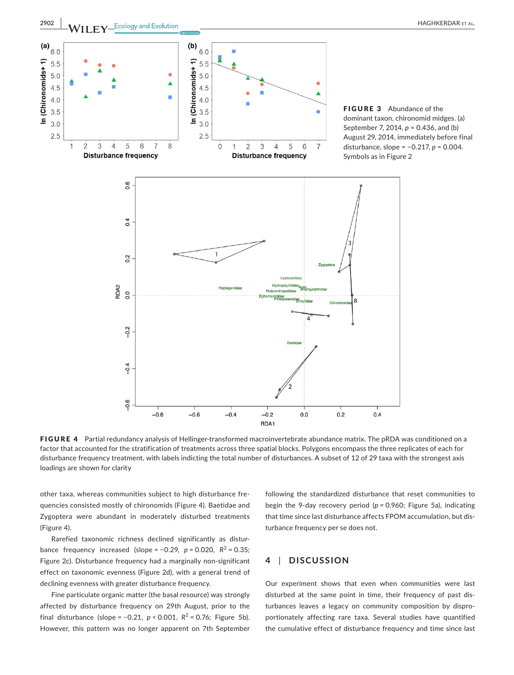

FIGURE 4 Partial redundancy analysis of Hellinger-transformed macroinvertebrate abundance matrix. The pRDA was conditioned on a factor that accounted for the stratification of treatments across three spatial blocks. Polygons encompass the three replicates of each for disturbance frequency treatment, with labels indicting the total number of disturbances. A subset of 12 of 29 taxa with the strongest axis loadings are shown for clarity

other taxa, whereas communities subject to high disturbance frequencies consisted mostly of chironomids (Figure 4). Baetidae and Zygoptera were abundant in moderately disturbed treatments (Figure 4).

Rarefied taxonomic richness declined significantly as disturbance frequency increased (slope =  $-0.29$ ,  $p = 0.020$ ,  $R^2 = 0.35$ ; Figure 2c). Disturbance frequency had a marginally non‐significant effect on taxonomic evenness (Figure 2d), with a general trend of declining evenness with greater disturbance frequency.

Fine particulate organic matter (the basal resource) was strongly affected by disturbance frequency on 29th August, prior to the final disturbance (slope =  $-0.21$ ,  $p < 0.001$ ,  $R^2 = 0.76$ ; Figure 5b). However, this pattern was no longer apparent on 7th September following the standardized disturbance that reset communities to begin the 9‐day recovery period (*p =* 0.960; Figure 5a), indicating that time since last disturbance affects FPOM accumulation, but disturbance frequency per se does not.

# **4** | **DISCUSSION**

Our experiment shows that even when communities were last disturbed at the same point in time, their frequency of past disturbances leaves a legacy on community composition by disproportionately affecting rare taxa. Several studies have quantified the cumulative effect of disturbance frequency and time since last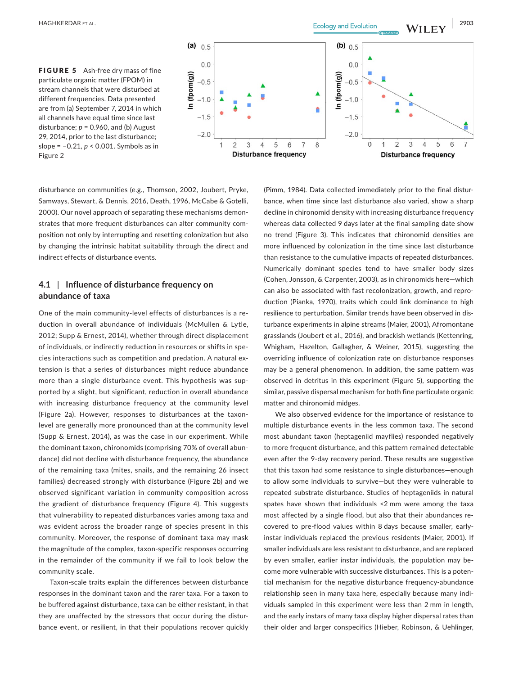



disturbance on communities (e.g., Thomson, 2002, Joubert, Pryke, Samways, Stewart, & Dennis, 2016, Death, 1996, McCabe & Gotelli, 2000). Our novel approach of separating these mechanisms demonstrates that more frequent disturbances can alter community composition not only by interrupting and resetting colonization but also by changing the intrinsic habitat suitability through the direct and indirect effects of disturbance events.

# **4.1** | **Influence of disturbance frequency on abundance of taxa**

One of the main community‐level effects of disturbances is a reduction in overall abundance of individuals (McMullen & Lytle, 2012; Supp & Ernest, 2014), whether through direct displacement of individuals, or indirectly reduction in resources or shifts in species interactions such as competition and predation. A natural extension is that a series of disturbances might reduce abundance more than a single disturbance event. This hypothesis was supported by a slight, but significant, reduction in overall abundance with increasing disturbance frequency at the community level (Figure 2a). However, responses to disturbances at the taxon‐ level are generally more pronounced than at the community level (Supp & Ernest, 2014), as was the case in our experiment. While the dominant taxon, chironomids (comprising 70% of overall abundance) did not decline with disturbance frequency, the abundance of the remaining taxa (mites, snails, and the remaining 26 insect families) decreased strongly with disturbance (Figure 2b) and we observed significant variation in community composition across the gradient of disturbance frequency (Figure 4). This suggests that vulnerability to repeated disturbances varies among taxa and was evident across the broader range of species present in this community. Moreover, the response of dominant taxa may mask the magnitude of the complex, taxon‐specific responses occurring in the remainder of the community if we fail to look below the community scale.

Taxon-scale traits explain the differences between disturbance responses in the dominant taxon and the rarer taxa. For a taxon to be buffered against disturbance, taxa can be either resistant, in that they are unaffected by the stressors that occur during the disturbance event, or resilient, in that their populations recover quickly

(Pimm, 1984). Data collected immediately prior to the final disturbance, when time since last disturbance also varied, show a sharp decline in chironomid density with increasing disturbance frequency whereas data collected 9 days later at the final sampling date show no trend (Figure 3). This indicates that chironomid densities are more influenced by colonization in the time since last disturbance than resistance to the cumulative impacts of repeated disturbances. Numerically dominant species tend to have smaller body sizes (Cohen, Jonsson, & Carpenter, 2003), as in chironomids here—which can also be associated with fast recolonization, growth, and reproduction (Pianka, 1970), traits which could link dominance to high resilience to perturbation. Similar trends have been observed in disturbance experiments in alpine streams (Maier, 2001), Afromontane grasslands (Joubert et al., 2016), and brackish wetlands (Kettenring, Whigham, Hazelton, Gallagher, & Weiner, 2015), suggesting the overriding influence of colonization rate on disturbance responses may be a general phenomenon. In addition, the same pattern was observed in detritus in this experiment (Figure 5), supporting the similar, passive dispersal mechanism for both fine particulate organic matter and chironomid midges.

We also observed evidence for the importance of resistance to multiple disturbance events in the less common taxa. The second most abundant taxon (heptageniid mayflies) responded negatively to more frequent disturbance, and this pattern remained detectable even after the 9‐day recovery period. These results are suggestive that this taxon had some resistance to single disturbances—enough to allow some individuals to survive—but they were vulnerable to repeated substrate disturbance. Studies of heptageniids in natural spates have shown that individuals <2 mm were among the taxa most affected by a single flood, but also that their abundances recovered to pre‐flood values within 8 days because smaller, early‐ instar individuals replaced the previous residents (Maier, 2001). If smaller individuals are less resistant to disturbance, and are replaced by even smaller, earlier instar individuals, the population may become more vulnerable with successive disturbances. This is a potential mechanism for the negative disturbance frequency‐abundance relationship seen in many taxa here, especially because many individuals sampled in this experiment were less than 2 mm in length, and the early instars of many taxa display higher dispersal rates than their older and larger conspecifics (Hieber, Robinson, & Uehlinger,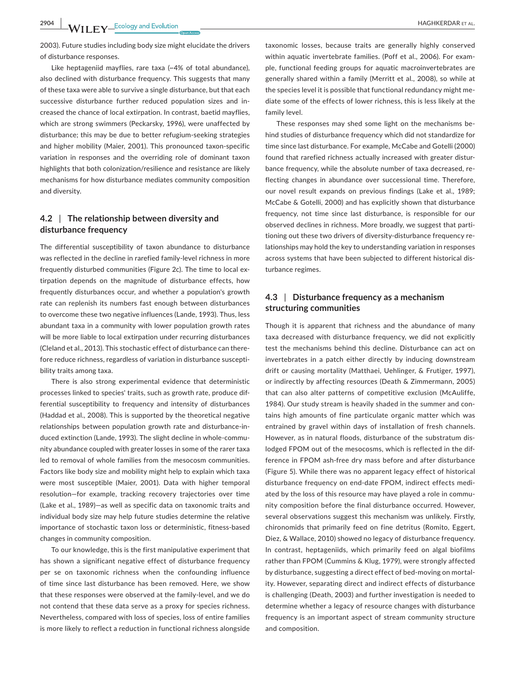**2904 |**  HAGHKERDAR et al.

2003). Future studies including body size might elucidate the drivers of disturbance responses.

Like heptageniid mayflies, rare taxa (~4% of total abundance), also declined with disturbance frequency. This suggests that many of these taxa were able to survive a single disturbance, but that each successive disturbance further reduced population sizes and increased the chance of local extirpation. In contrast, baetid mayflies, which are strong swimmers (Peckarsky, 1996), were unaffected by disturbance; this may be due to better refugium‐seeking strategies and higher mobility (Maier, 2001). This pronounced taxon‐specific variation in responses and the overriding role of dominant taxon highlights that both colonization/resilience and resistance are likely mechanisms for how disturbance mediates community composition and diversity.

# **4.2** | **The relationship between diversity and disturbance frequency**

The differential susceptibility of taxon abundance to disturbance was reflected in the decline in rarefied family‐level richness in more frequently disturbed communities (Figure 2c). The time to local extirpation depends on the magnitude of disturbance effects, how frequently disturbances occur, and whether a population's growth rate can replenish its numbers fast enough between disturbances to overcome these two negative influences (Lande, 1993). Thus, less abundant taxa in a community with lower population growth rates will be more liable to local extirpation under recurring disturbances (Cleland et al., 2013). This stochastic effect of disturbance can therefore reduce richness, regardless of variation in disturbance susceptibility traits among taxa.

There is also strong experimental evidence that deterministic processes linked to species' traits, such as growth rate, produce differential susceptibility to frequency and intensity of disturbances (Haddad et al., 2008). This is supported by the theoretical negative relationships between population growth rate and disturbance‐induced extinction (Lande, 1993). The slight decline in whole‐community abundance coupled with greater losses in some of the rarer taxa led to removal of whole families from the mesocosm communities. Factors like body size and mobility might help to explain which taxa were most susceptible (Maier, 2001). Data with higher temporal resolution—for example, tracking recovery trajectories over time (Lake et al., 1989)—as well as specific data on taxonomic traits and individual body size may help future studies determine the relative importance of stochastic taxon loss or deterministic, fitness‐based changes in community composition.

To our knowledge, this is the first manipulative experiment that has shown a significant negative effect of disturbance frequency per se on taxonomic richness when the confounding influence of time since last disturbance has been removed. Here, we show that these responses were observed at the family‐level, and we do not contend that these data serve as a proxy for species richness. Nevertheless, compared with loss of species, loss of entire families is more likely to reflect a reduction in functional richness alongside

taxonomic losses, because traits are generally highly conserved within aquatic invertebrate families. (Poff et al., 2006). For example, functional feeding groups for aquatic macroinvertebrates are generally shared within a family (Merritt et al., 2008), so while at the species level it is possible that functional redundancy might mediate some of the effects of lower richness, this is less likely at the family level.

These responses may shed some light on the mechanisms behind studies of disturbance frequency which did not standardize for time since last disturbance. For example, McCabe and Gotelli (2000) found that rarefied richness actually increased with greater disturbance frequency, while the absolute number of taxa decreased, reflecting changes in abundance over successional time. Therefore, our novel result expands on previous findings (Lake et al., 1989; McCabe & Gotelli, 2000) and has explicitly shown that disturbance frequency, not time since last disturbance, is responsible for our observed declines in richness. More broadly, we suggest that partitioning out these two drivers of diversity‐disturbance frequency relationships may hold the key to understanding variation in responses across systems that have been subjected to different historical disturbance regimes.

# **4.3** | **Disturbance frequency as a mechanism structuring communities**

Though it is apparent that richness and the abundance of many taxa decreased with disturbance frequency, we did not explicitly test the mechanisms behind this decline. Disturbance can act on invertebrates in a patch either directly by inducing downstream drift or causing mortality (Matthaei, Uehlinger, & Frutiger, 1997), or indirectly by affecting resources (Death & Zimmermann, 2005) that can also alter patterns of competitive exclusion (McAuliffe, 1984). Our study stream is heavily shaded in the summer and contains high amounts of fine particulate organic matter which was entrained by gravel within days of installation of fresh channels. However, as in natural floods, disturbance of the substratum dislodged FPOM out of the mesocosms, which is reflected in the difference in FPOM ash‐free dry mass before and after disturbance (Figure 5). While there was no apparent legacy effect of historical disturbance frequency on end‐date FPOM, indirect effects mediated by the loss of this resource may have played a role in community composition before the final disturbance occurred. However, several observations suggest this mechanism was unlikely. Firstly, chironomids that primarily feed on fine detritus (Romito, Eggert, Diez, & Wallace, 2010) showed no legacy of disturbance frequency. In contrast, heptageniids, which primarily feed on algal biofilms rather than FPOM (Cummins & Klug, 1979), were strongly affected by disturbance, suggesting a direct effect of bed‐moving on mortality. However, separating direct and indirect effects of disturbance is challenging (Death, 2003) and further investigation is needed to determine whether a legacy of resource changes with disturbance frequency is an important aspect of stream community structure and composition.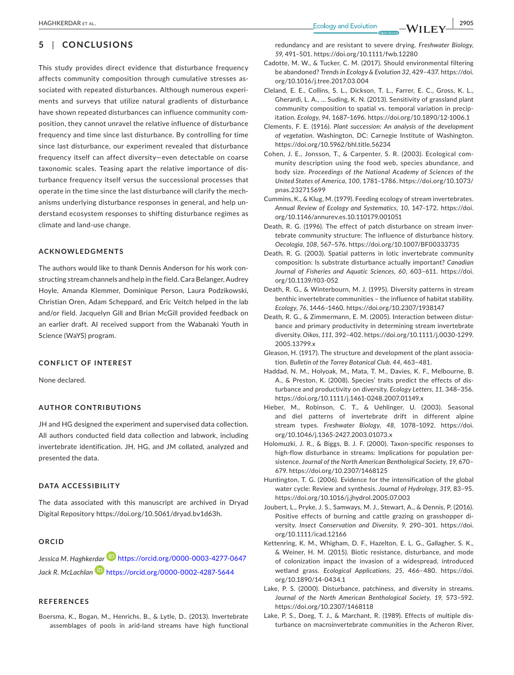# **5** | **CONCLUSIONS**

This study provides direct evidence that disturbance frequency affects community composition through cumulative stresses associated with repeated disturbances. Although numerous experiments and surveys that utilize natural gradients of disturbance have shown repeated disturbances can influence community composition, they cannot unravel the relative influence of disturbance frequency and time since last disturbance. By controlling for time since last disturbance, our experiment revealed that disturbance frequency itself can affect diversity—even detectable on coarse taxonomic scales. Teasing apart the relative importance of disturbance frequency itself versus the successional processes that operate in the time since the last disturbance will clarify the mechanisms underlying disturbance responses in general, and help understand ecosystem responses to shifting disturbance regimes as climate and land‐use change.

#### **ACKNOWLEDGMENTS**

The authors would like to thank Dennis Anderson for his work constructing stream channels and help in the field. Cara Belanger, Audrey Hoyle, Amanda Klemmer, Dominique Person, Laura Podzikowski, Christian Oren, Adam Scheppard, and Eric Veitch helped in the lab and/or field. Jacquelyn Gill and Brian McGill provided feedback on an earlier draft. AI received support from the Wabanaki Youth in Science (WaYS) program.

#### **CONFLICT OF INTEREST**

None declared.

#### **AUTHOR CONTRIBUTIONS**

JH and HG designed the experiment and supervised data collection. All authors conducted field data collection and labwork, including invertebrate identification. JH, HG, and JM collated, analyzed and presented the data.

#### **DATA ACCESSIBILITY**

The data associated with this manuscript are archived in Dryad Digital Repository <https://doi.org/10.5061/dryad.bv1d63h>.

#### **ORCID**

*Jessica M. Haghkerdar* **<https://orcid.org/0000-0003-4277-0647>** *Jack R. McLachlan* <https://orcid.org/0000-0002-4287-5644>

#### **REFERENCES**

Boersma, K., Bogan, M., Henrichs, B., & Lytle, D.. (2013). Invertebrate assemblages of pools in arid‐land streams have high functional

redundancy and are resistant to severe drying. *Freshwater Biology*, *59*, 491–501. <https://doi.org/10.1111/fwb.12280>

- Cadotte, M. W., & Tucker, C. M. (2017). Should environmental filtering be abandoned? *Trends in Ecology & Evolution 32*, 429–437. [https://doi.](https://doi.org/10.1016/j.tree.2017.03.004) [org/10.1016/j.tree.2017.03.004](https://doi.org/10.1016/j.tree.2017.03.004)
- Cleland, E. E., Collins, S. L., Dickson, T. L., Farrer, E. C., Gross, K. L., Gherardi, L. A., … Suding, K. N. (2013). Sensitivity of grassland plant community composition to spatial vs. temporal variation in precipitation. *Ecology*, *94*, 1687–1696.<https://doi.org/10.1890/12-1006.1>
- Clements, F. E. (1916). *Plant succession: An analysis of the development of vegetation*. Washington, DC: Carnegie Institute of Washington. <https://doi.org/10.5962/bhl.title.56234>
- Cohen, J. E., Jonsson, T., & Carpenter, S. R. (2003). Ecological community description using the food web, species abundance, and body size. *Proceedings of the National Academy of Sciences of the United States of America*, *100*, 1781–1786. [https://doi.org/10.1073/](https://doi.org/10.1073/pnas.232715699) [pnas.232715699](https://doi.org/10.1073/pnas.232715699)
- Cummins, K., & Klug, M. (1979). Feeding ecology of stream invertebrates. *Annual Review of Ecology and Systematics*, *10*, 147–172. [https://doi.](https://doi.org/10.1146/annurev.es.10.110179.001051) [org/10.1146/annurev.es.10.110179.001051](https://doi.org/10.1146/annurev.es.10.110179.001051)
- Death, R. G. (1996). The effect of patch disturbance on stream invertebrate community structure: The influence of disturbance history. *Oecologia*, *108*, 567–576.<https://doi.org/10.1007/BF00333735>
- Death, R. G. (2003). Spatial patterns in lotic invertebrate community composition: Is substrate disturbance actually important? *Canadian Journal of Fisheries and Aquatic Sciences*, *60*, 603–611. [https://doi.](https://doi.org/10.1139/f03-052) [org/10.1139/f03-052](https://doi.org/10.1139/f03-052)
- Death, R. G., & Winterbourn, M. J. (1995). Diversity patterns in stream benthic invertebrate communities – the influence of habitat stability. *Ecology*, *76*, 1446–1460.<https://doi.org/10.2307/1938147>
- Death, R. G., & Zimmermann, E. M. (2005). Interaction between disturbance and primary productivity in determining stream invertebrate diversity. *Oikos*, *111*, 392–402. [https://doi.org/10.1111/j.0030-1299.](https://doi.org/10.1111/j.0030-1299.2005.13799.x) [2005.13799.x](https://doi.org/10.1111/j.0030-1299.2005.13799.x)
- Gleason, H. (1917). The structure and development of the plant association. *Bulletin of the Torrey Botanical Club*, *44*, 463–481.
- Haddad, N. M., Holyoak, M., Mata, T. M., Davies, K. F., Melbourne, B. A., & Preston, K. (2008). Species' traits predict the effects of disturbance and productivity on diversity. *Ecology Letters*, *11*, 348–356. <https://doi.org/10.1111/j.1461-0248.2007.01149.x>
- Hieber, M., Robinson, C. T., & Uehlinger, U. (2003). Seasonal and diel patterns of invertebrate drift in different alpine stream types. *Freshwater Biology*, *48*, 1078–1092. [https://doi.](https://doi.org/10.1046/j.1365-2427.2003.01073.x) [org/10.1046/j.1365-2427.2003.01073.x](https://doi.org/10.1046/j.1365-2427.2003.01073.x)
- Holomuzki, J. R., & Biggs, B. J. F. (2000). Taxon‐specific responses to high‐flow disturbance in streams: Implications for population persistence. *Journal of the North American Benthological Society*, *19*, 670– 679.<https://doi.org/10.2307/1468125>
- Huntington, T. G. (2006). Evidence for the intensification of the global water cycle: Review and synthesis. *Journal of Hydrology*, *319*, 83–95. <https://doi.org/10.1016/j.jhydrol.2005.07.003>
- Joubert, L., Pryke, J. S., Samways, M. J., Stewart, A., & Dennis, P. (2016). Positive effects of burning and cattle grazing on grasshopper diversity. *Insect Conservation and Diversity*, *9*, 290–301. [https://doi.](https://doi.org/10.1111/icad.12166) [org/10.1111/icad.12166](https://doi.org/10.1111/icad.12166)
- Kettenring, K. M., Whigham, D. F., Hazelton, E. L. G., Gallagher, S. K., & Weiner, H. M. (2015). Biotic resistance, disturbance, and mode of colonization impact the invasion of a widespread, introduced wetland grass. *Ecological Applications*, *25*, 466–480. [https://doi.](https://doi.org/10.1890/14-0434.1) [org/10.1890/14-0434.1](https://doi.org/10.1890/14-0434.1)
- Lake, P. S. (2000). Disturbance, patchiness, and diversity in streams. *Journal of the North American Benthological Society*, *19*, 573–592. <https://doi.org/10.2307/1468118>
- Lake, P. S., Doeg, T. J., & Marchant, R. (1989). Effects of multiple disturbance on macroinvertebrate communities in the Acheron River,